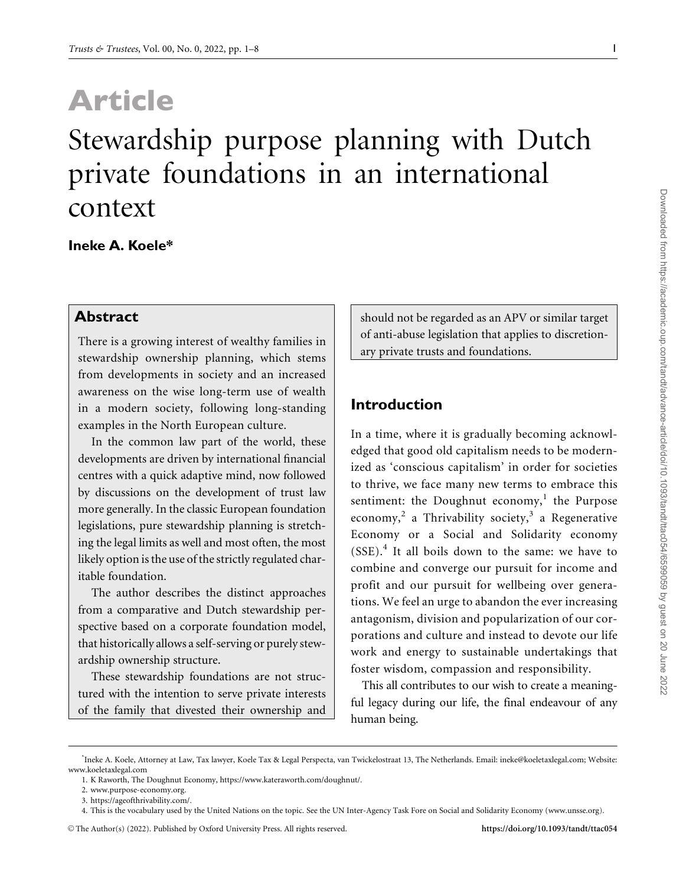# Article

# Stewardship purpose planning with Dutch private foundations in an international context

#### Ineke A. Koele\*

#### Abstract

There is a growing interest of wealthy families in stewardship ownership planning, which stems from developments in society and an increased awareness on the wise long-term use of wealth in a modern society, following long-standing examples in the North European culture.

In the common law part of the world, these developments are driven by international financial centres with a quick adaptive mind, now followed by discussions on the development of trust law more generally. In the classic European foundation legislations, pure stewardship planning is stretching the legal limits as well and most often, the most likely option is the use of the strictly regulated charitable foundation.

The author describes the distinct approaches from a comparative and Dutch stewardship perspective based on a corporate foundation model, that historically allows a self-serving or purely stewardship ownership structure.

These stewardship foundations are not structured with the intention to serve private interests of the family that divested their ownership and should not be regarded as an APV or similar target of anti-abuse legislation that applies to discretionary private trusts and foundations.

#### Introduction

In a time, where it is gradually becoming acknowledged that good old capitalism needs to be modernized as 'conscious capitalism' in order for societies to thrive, we face many new terms to embrace this sentiment: the Doughnut economy, $<sup>1</sup>$  the Purpose</sup> economy,<sup>2</sup> a Thrivability society,<sup>3</sup> a Regenerative Economy or a Social and Solidarity economy (SSE).<sup>4</sup> It all boils down to the same: we have to combine and converge our pursuit for income and profit and our pursuit for wellbeing over generations. We feel an urge to abandon the ever increasing antagonism, division and popularization of our corporations and culture and instead to devote our life work and energy to sustainable undertakings that foster wisdom, compassion and responsibility.

This all contributes to our wish to create a meaningful legacy during our life, the final endeavour of any human being.

<sup>\*</sup> Ineke A. Koele, Attorney at Law, Tax lawyer, Koele Tax & Legal Perspecta, van Twickelostraat 13, The Netherlands. Email: ineke@koeletaxlegal.com; Website: [www.koeletaxlegal.com](http://www.koeletaxlegal.com)

<sup>1.</sup> K Raworth, The Doughnut Economy, [https://www.kateraworth.com/doughnut/.](https://www.kateraworth.com/doughnut/)

<sup>2.</sup> [www.purpose-economy.org.](http://www.purpose-economy.org)

<sup>3.</sup> [https://ageofthrivability.com/.](https://ageofthrivability.com/)

<sup>4.</sup> This is the vocabulary used by the United Nations on the topic. See the UN Inter-Agency Task Fore on Social and Solidarity Economy ([www.unsse.org](http://www.unsse.org)).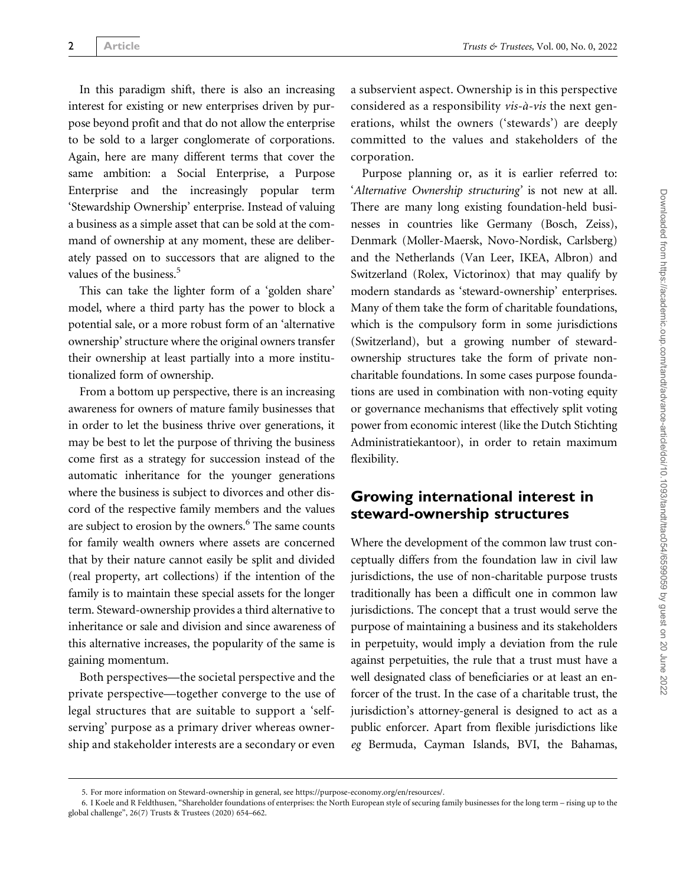In this paradigm shift, there is also an increasing interest for existing or new enterprises driven by purpose beyond profit and that do not allow the enterprise to be sold to a larger conglomerate of corporations. Again, here are many different terms that cover the same ambition: a Social Enterprise, a Purpose Enterprise and the increasingly popular term 'Stewardship Ownership' enterprise. Instead of valuing a business as a simple asset that can be sold at the command of ownership at any moment, these are deliberately passed on to successors that are aligned to the values of the business.<sup>5</sup>

This can take the lighter form of a 'golden share' model, where a third party has the power to block a potential sale, or a more robust form of an 'alternative ownership' structure where the original owners transfer their ownership at least partially into a more institutionalized form of ownership.

From a bottom up perspective, there is an increasing awareness for owners of mature family businesses that in order to let the business thrive over generations, it may be best to let the purpose of thriving the business come first as a strategy for succession instead of the automatic inheritance for the younger generations where the business is subject to divorces and other discord of the respective family members and the values are subject to erosion by the owners.<sup>6</sup> The same counts for family wealth owners where assets are concerned that by their nature cannot easily be split and divided (real property, art collections) if the intention of the family is to maintain these special assets for the longer term. Steward-ownership provides a third alternative to inheritance or sale and division and since awareness of this alternative increases, the popularity of the same is gaining momentum.

Both perspectives—the societal perspective and the private perspective—together converge to the use of legal structures that are suitable to support a 'selfserving' purpose as a primary driver whereas ownership and stakeholder interests are a secondary or even a subservient aspect. Ownership is in this perspective considered as a responsibility  $vis-\hat{a}-vis$  the next generations, whilst the owners ('stewards') are deeply committed to the values and stakeholders of the corporation.

Purpose planning or, as it is earlier referred to: 'Alternative Ownership structuring' is not new at all. There are many long existing foundation-held businesses in countries like Germany (Bosch, Zeiss), Denmark (Moller-Maersk, Novo-Nordisk, Carlsberg) and the Netherlands (Van Leer, IKEA, Albron) and Switzerland (Rolex, Victorinox) that may qualify by modern standards as 'steward-ownership' enterprises. Many of them take the form of charitable foundations, which is the compulsory form in some jurisdictions (Switzerland), but a growing number of stewardownership structures take the form of private noncharitable foundations. In some cases purpose foundations are used in combination with non-voting equity or governance mechanisms that effectively split voting power from economic interest (like the Dutch Stichting Administratiekantoor), in order to retain maximum flexibility.

#### Growing international interest in steward-ownership structures

Where the development of the common law trust conceptually differs from the foundation law in civil law jurisdictions, the use of non-charitable purpose trusts traditionally has been a difficult one in common law jurisdictions. The concept that a trust would serve the purpose of maintaining a business and its stakeholders in perpetuity, would imply a deviation from the rule against perpetuities, the rule that a trust must have a well designated class of beneficiaries or at least an enforcer of the trust. In the case of a charitable trust, the jurisdiction's attorney-general is designed to act as a public enforcer. Apart from flexible jurisdictions like eg Bermuda, Cayman Islands, BVI, the Bahamas,

<sup>5.</sup> For more information on Steward-ownership in general, see<https://purpose-economy.org/en/resources/>.

<sup>6.</sup> I Koele and R Feldthusen, "Shareholder foundations of enterprises: the North European style of securing family businesses for the long term – rising up to the global challenge", 26(7) Trusts & Trustees (2020) 654–662.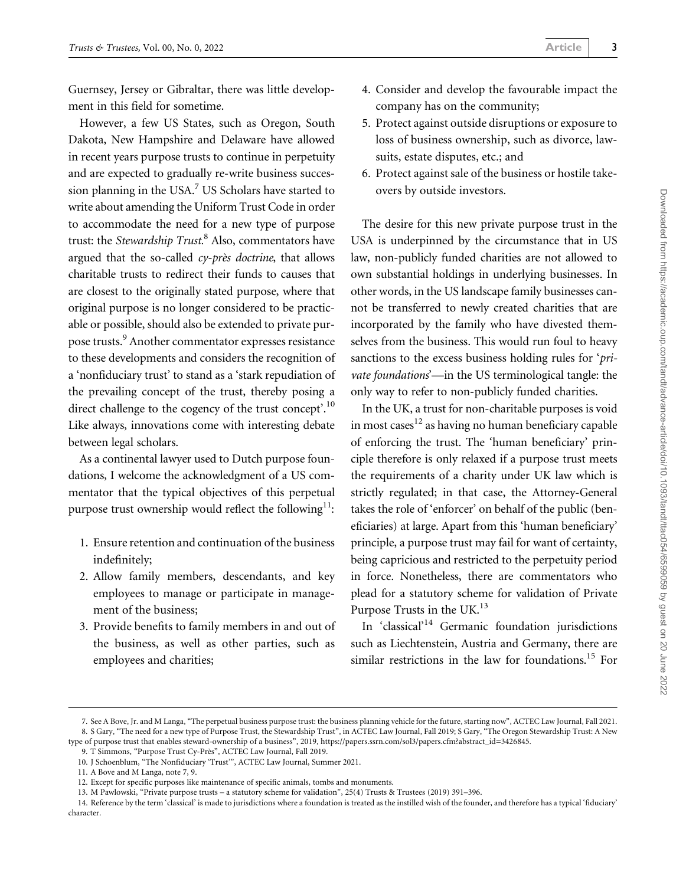Guernsey, Jersey or Gibraltar, there was little development in this field for sometime.

However, a few US States, such as Oregon, South Dakota, New Hampshire and Delaware have allowed in recent years purpose trusts to continue in perpetuity and are expected to gradually re-write business succession planning in the USA.<sup>7</sup> US Scholars have started to write about amending the Uniform Trust Code in order to accommodate the need for a new type of purpose trust: the Stewardship Trust.<sup>8</sup> Also, commentators have argued that the so-called  $cy$ -près doctrine, that allows charitable trusts to redirect their funds to causes that are closest to the originally stated purpose, where that original purpose is no longer considered to be practicable or possible, should also be extended to private purpose trusts.<sup>9</sup> Another commentator expresses resistance to these developments and considers the recognition of a 'nonfiduciary trust' to stand as a 'stark repudiation of the prevailing concept of the trust, thereby posing a direct challenge to the cogency of the trust concept'.<sup>10</sup> Like always, innovations come with interesting debate between legal scholars.

As a continental lawyer used to Dutch purpose foundations, I welcome the acknowledgment of a US commentator that the typical objectives of this perpetual purpose trust ownership would reflect the following $^{11}$ :

- 1. Ensure retention and continuation of the business indefinitely;
- 2. Allow family members, descendants, and key employees to manage or participate in management of the business;
- 3. Provide benefits to family members in and out of the business, as well as other parties, such as employees and charities;
- 4. Consider and develop the favourable impact the company has on the community;
- 5. Protect against outside disruptions or exposure to loss of business ownership, such as divorce, lawsuits, estate disputes, etc.; and
- 6. Protect against sale of the business or hostile takeovers by outside investors.

The desire for this new private purpose trust in the USA is underpinned by the circumstance that in US law, non-publicly funded charities are not allowed to own substantial holdings in underlying businesses. In other words, in the US landscape family businesses cannot be transferred to newly created charities that are incorporated by the family who have divested themselves from the business. This would run foul to heavy sanctions to the excess business holding rules for '*pri*vate foundations'—in the US terminological tangle: the only way to refer to non-publicly funded charities.

In the UK, a trust for non-charitable purposes is void in most cases $12$  as having no human beneficiary capable of enforcing the trust. The 'human beneficiary' principle therefore is only relaxed if a purpose trust meets the requirements of a charity under UK law which is strictly regulated; in that case, the Attorney-General takes the role of 'enforcer' on behalf of the public (beneficiaries) at large. Apart from this 'human beneficiary' principle, a purpose trust may fail for want of certainty, being capricious and restricted to the perpetuity period in force. Nonetheless, there are commentators who plead for a statutory scheme for validation of Private Purpose Trusts in the UK.<sup>13</sup>

In 'classical'14 Germanic foundation jurisdictions such as Liechtenstein, Austria and Germany, there are similar restrictions in the law for foundations.15 For

<sup>7.</sup> See A Bove, Jr. and M Langa, "The perpetual business purpose trust: the business planning vehicle for the future, starting now", ACTEC Law Journal, Fall 2021. 8. S Gary, "The need for a new type of Purpose Trust, the Stewardship Trust", in ACTEC Law Journal, Fall 2019; S Gary, "The Oregon Stewardship Trust: A New

type of purpose trust that enables steward-ownership of a business", 2019, [https://papers.ssrn.com/sol3/papers.cfm?abstract\\_id=3426845.](https://papers.ssrn.com/sol3/papers.cfm?abstract_id=3426845) 9. T Simmons, "Purpose Trust Cy-Près", ACTEC Law Journal, Fall 2019.

<sup>10.</sup> J Schoenblum, "The Nonfiduciary 'Trust'", ACTEC Law Journal, Summer 2021.

<sup>11.</sup> A Bove and M Langa, note 7, 9.

<sup>12.</sup> Except for specific purposes like maintenance of specific animals, tombs and monuments.

<sup>13.</sup> M Pawlowski, "Private purpose trusts – a statutory scheme for validation", 25(4) Trusts & Trustees (2019) 391–396.

<sup>14.</sup> Reference by the term 'classical' is made to jurisdictions where a foundation is treated as the instilled wish of the founder, and therefore has a typical 'fiduciary' character.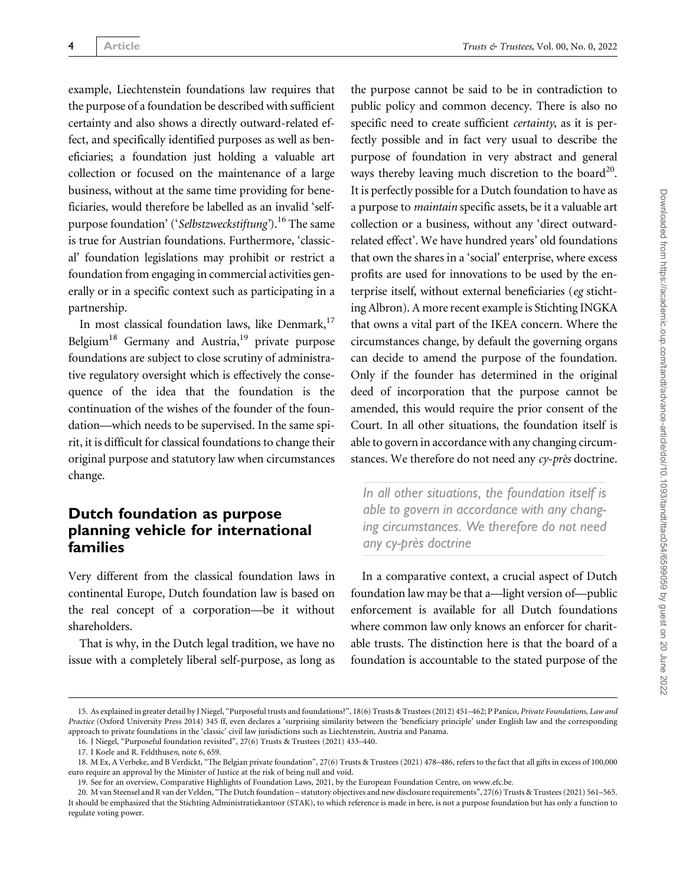example, Liechtenstein foundations law requires that the purpose of a foundation be described with sufficient certainty and also shows a directly outward-related effect, and specifically identified purposes as well as beneficiaries; a foundation just holding a valuable art collection or focused on the maintenance of a large business, without at the same time providing for beneficiaries, would therefore be labelled as an invalid 'selfpurpose foundation' ('Selbstzweckstiftung').<sup>16</sup> The same is true for Austrian foundations. Furthermore, 'classical' foundation legislations may prohibit or restrict a foundation from engaging in commercial activities generally or in a specific context such as participating in a partnership.

In most classical foundation laws, like Denmark,<sup>17</sup> Belgium<sup>18</sup> Germany and Austria,<sup>19</sup> private purpose foundations are subject to close scrutiny of administrative regulatory oversight which is effectively the consequence of the idea that the foundation is the continuation of the wishes of the founder of the foundation—which needs to be supervised. In the same spirit, it is difficult for classical foundations to change their original purpose and statutory law when circumstances change.

## Dutch foundation as purpose planning vehicle for international families

Very different from the classical foundation laws in continental Europe, Dutch foundation law is based on the real concept of a corporation—be it without shareholders.

That is why, in the Dutch legal tradition, we have no issue with a completely liberal self-purpose, as long as

the purpose cannot be said to be in contradiction to public policy and common decency. There is also no specific need to create sufficient certainty, as it is perfectly possible and in fact very usual to describe the purpose of foundation in very abstract and general ways thereby leaving much discretion to the board<sup>20</sup>. It is perfectly possible for a Dutch foundation to have as a purpose to maintain specific assets, be it a valuable art collection or a business, without any 'direct outwardrelated effect'. We have hundred years' old foundations that own the shares in a 'social' enterprise, where excess profits are used for innovations to be used by the enterprise itself, without external beneficiaries (eg stichting Albron). A more recent example is Stichting INGKA that owns a vital part of the IKEA concern. Where the circumstances change, by default the governing organs can decide to amend the purpose of the foundation. Only if the founder has determined in the original deed of incorporation that the purpose cannot be amended, this would require the prior consent of the Court. In all other situations, the foundation itself is able to govern in accordance with any changing circumstances. We therefore do not need any cy-près doctrine.

In all other situations, the foundation itself is able to govern in accordance with any changing circumstances. We therefore do not need any cy-près doctrine

In a comparative context, a crucial aspect of Dutch foundation law may be that a—light version of—public enforcement is available for all Dutch foundations where common law only knows an enforcer for charitable trusts. The distinction here is that the board of a foundation is accountable to the stated purpose of the

<sup>15.</sup> As explained in greater detail by J Niegel, "Purposeful trusts and foundations?", 18(6) Trusts & Trustees (2012) 451–462; P Panico, Private Foundations, Law and Practice (Oxford University Press 2014) 345 ff, even declares a 'surprising similarity between the 'beneficiary principle' under English law and the corresponding approach to private foundations in the 'classic' civil law jurisdictions such as Liechtenstein, Austria and Panama.

<sup>16.</sup> J Niegel, "Purposeful foundation revisited", 27(6) Trusts & Trustees (2021) 433–440.

<sup>17.</sup> I Koele and R. Feldthusen, note 6, 659.

<sup>18.</sup> M Ex, A Verbeke, and B Verdickt, "The Belgian private foundation", 27(6) Trusts & Trustees (2021) 478–486, refers to the fact that all gifts in excess of 100,000 euro require an approval by the Minister of Justice at the risk of being null and void.

<sup>19.</sup> See for an overview, Comparative Highlights of Foundation Laws, 2021, by the European Foundation Centre, on [www.efc.be.](http://www.efc.be)

<sup>20.</sup> M van Steensel and R van der Velden, "The Dutch foundation – statutory objectives and new disclosure requirements", 27(6) Trusts & Trustees (2021) 561–565. It should be emphasized that the Stichting Administratiekantoor (STAK), to which reference is made in here, is not a purpose foundation but has only a function to regulate voting power.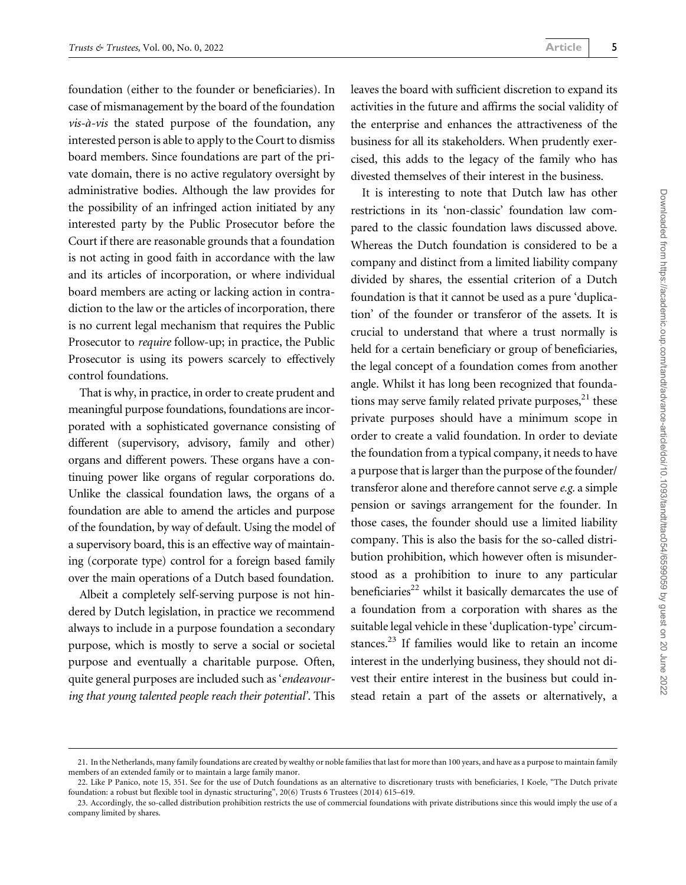foundation (either to the founder or beneficiaries). In case of mismanagement by the board of the foundation  $vis-\hat{a}-vis$  the stated purpose of the foundation, any interested person is able to apply to the Court to dismiss board members. Since foundations are part of the private domain, there is no active regulatory oversight by administrative bodies. Although the law provides for the possibility of an infringed action initiated by any interested party by the Public Prosecutor before the Court if there are reasonable grounds that a foundation is not acting in good faith in accordance with the law and its articles of incorporation, or where individual board members are acting or lacking action in contradiction to the law or the articles of incorporation, there is no current legal mechanism that requires the Public Prosecutor to require follow-up; in practice, the Public Prosecutor is using its powers scarcely to effectively control foundations.

That is why, in practice, in order to create prudent and meaningful purpose foundations, foundations are incorporated with a sophisticated governance consisting of different (supervisory, advisory, family and other) organs and different powers. These organs have a continuing power like organs of regular corporations do. Unlike the classical foundation laws, the organs of a foundation are able to amend the articles and purpose of the foundation, by way of default. Using the model of a supervisory board, this is an effective way of maintaining (corporate type) control for a foreign based family over the main operations of a Dutch based foundation.

Albeit a completely self-serving purpose is not hindered by Dutch legislation, in practice we recommend always to include in a purpose foundation a secondary purpose, which is mostly to serve a social or societal purpose and eventually a charitable purpose. Often, quite general purposes are included such as 'endeavouring that young talented people reach their potential'. This leaves the board with sufficient discretion to expand its activities in the future and affirms the social validity of the enterprise and enhances the attractiveness of the business for all its stakeholders. When prudently exercised, this adds to the legacy of the family who has divested themselves of their interest in the business.

It is interesting to note that Dutch law has other restrictions in its 'non-classic' foundation law compared to the classic foundation laws discussed above. Whereas the Dutch foundation is considered to be a company and distinct from a limited liability company divided by shares, the essential criterion of a Dutch foundation is that it cannot be used as a pure 'duplication' of the founder or transferor of the assets. It is crucial to understand that where a trust normally is held for a certain beneficiary or group of beneficiaries, the legal concept of a foundation comes from another angle. Whilst it has long been recognized that foundations may serve family related private purposes, $^{21}$  these private purposes should have a minimum scope in order to create a valid foundation. In order to deviate the foundation from a typical company, it needs to have a purpose that is larger than the purpose of the founder/ transferor alone and therefore cannot serve e.g. a simple pension or savings arrangement for the founder. In those cases, the founder should use a limited liability company. This is also the basis for the so-called distribution prohibition, which however often is misunderstood as a prohibition to inure to any particular beneficiaries<sup>22</sup> whilst it basically demarcates the use of a foundation from a corporation with shares as the suitable legal vehicle in these 'duplication-type' circumstances. $^{23}$  If families would like to retain an income interest in the underlying business, they should not divest their entire interest in the business but could instead retain a part of the assets or alternatively, a

<sup>21.</sup> In the Netherlands, many family foundations are created by wealthy or noble families that last for more than 100 years, and have as a purpose to maintain family members of an extended family or to maintain a large family manor.

<sup>22.</sup> Like P Panico, note 15, 351. See for the use of Dutch foundations as an alternative to discretionary trusts with beneficiaries, I Koele, "The Dutch private foundation: a robust but flexible tool in dynastic structuring", 20(6) Trusts 6 Trustees (2014) 615–619.

<sup>23.</sup> Accordingly, the so-called distribution prohibition restricts the use of commercial foundations with private distributions since this would imply the use of a company limited by shares.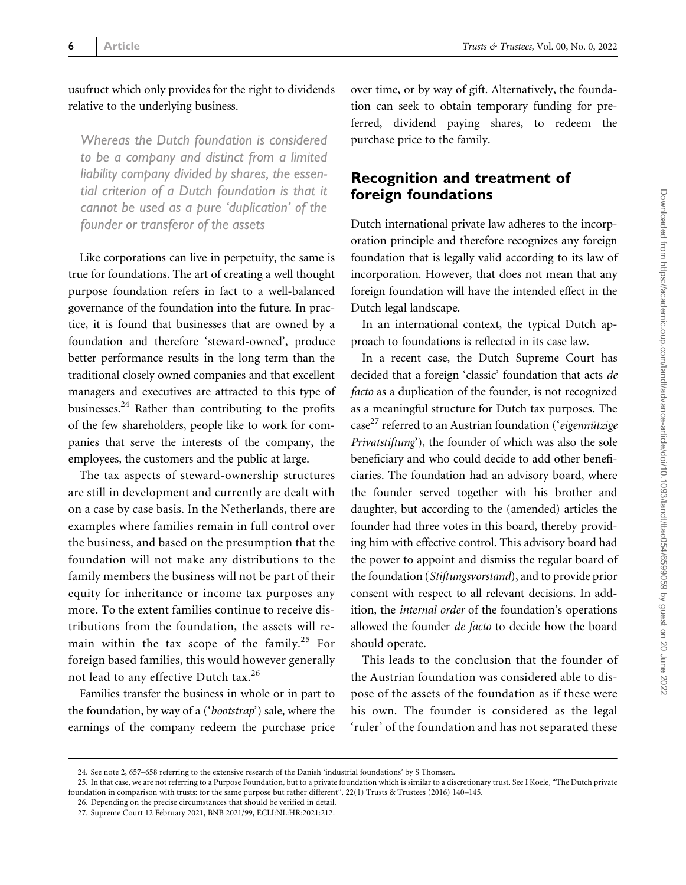usufruct which only provides for the right to dividends relative to the underlying business.

Whereas the Dutch foundation is considered to be a company and distinct from a limited liability company divided by shares, the essential criterion of a Dutch foundation is that it cannot be used as a pure 'duplication' of the founder or transferor of the assets

Like corporations can live in perpetuity, the same is true for foundations. The art of creating a well thought purpose foundation refers in fact to a well-balanced governance of the foundation into the future. In practice, it is found that businesses that are owned by a foundation and therefore 'steward-owned', produce better performance results in the long term than the traditional closely owned companies and that excellent managers and executives are attracted to this type of businesses. $24$  Rather than contributing to the profits of the few shareholders, people like to work for companies that serve the interests of the company, the employees, the customers and the public at large.

The tax aspects of steward-ownership structures are still in development and currently are dealt with on a case by case basis. In the Netherlands, there are examples where families remain in full control over the business, and based on the presumption that the foundation will not make any distributions to the family members the business will not be part of their equity for inheritance or income tax purposes any more. To the extent families continue to receive distributions from the foundation, the assets will remain within the tax scope of the family.<sup>25</sup> For foreign based families, this would however generally not lead to any effective Dutch tax.<sup>26</sup>

Families transfer the business in whole or in part to the foundation, by way of a ('bootstrap') sale, where the earnings of the company redeem the purchase price over time, or by way of gift. Alternatively, the foundation can seek to obtain temporary funding for preferred, dividend paying shares, to redeem the purchase price to the family.

### Recognition and treatment of foreign foundations

Dutch international private law adheres to the incorporation principle and therefore recognizes any foreign foundation that is legally valid according to its law of incorporation. However, that does not mean that any foreign foundation will have the intended effect in the Dutch legal landscape.

In an international context, the typical Dutch approach to foundations is reflected in its case law.

In a recent case, the Dutch Supreme Court has decided that a foreign 'classic' foundation that acts de facto as a duplication of the founder, is not recognized as a meaningful structure for Dutch tax purposes. The case<sup>27</sup> referred to an Austrian foundation ('eigennützige Privatstiftung'), the founder of which was also the sole beneficiary and who could decide to add other beneficiaries. The foundation had an advisory board, where the founder served together with his brother and daughter, but according to the (amended) articles the founder had three votes in this board, thereby providing him with effective control. This advisory board had the power to appoint and dismiss the regular board of the foundation (Stiftungsvorstand), and to provide prior consent with respect to all relevant decisions. In addition, the internal order of the foundation's operations allowed the founder de facto to decide how the board should operate.

This leads to the conclusion that the founder of the Austrian foundation was considered able to dispose of the assets of the foundation as if these were his own. The founder is considered as the legal 'ruler' of the foundation and has not separated these

26. Depending on the precise circumstances that should be verified in detail.

<sup>24.</sup> See note 2, 657–658 referring to the extensive research of the Danish 'industrial foundations' by S Thomsen.

<sup>25.</sup> In that case, we are not referring to a Purpose Foundation, but to a private foundation which is similar to a discretionary trust. See I Koele, "The Dutch private foundation in comparison with trusts: for the same purpose but rather different", 22(1) Trusts & Trustees (2016) 140–145.

<sup>27.</sup> Supreme Court 12 February 2021, BNB 2021/99, ECLI:NL:HR:2021:212.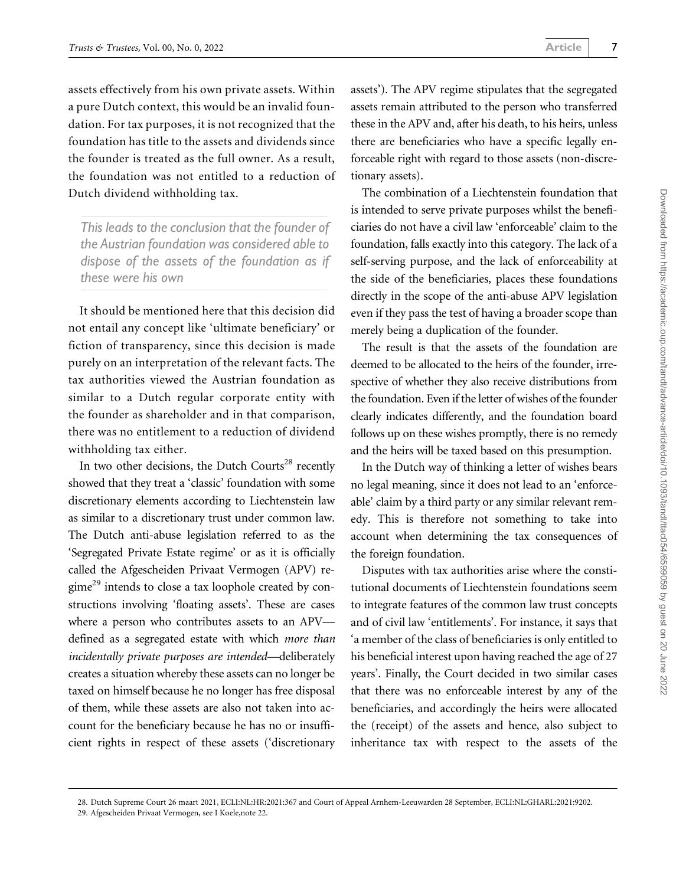assets effectively from his own private assets. Within a pure Dutch context, this would be an invalid foundation. For tax purposes, it is not recognized that the foundation has title to the assets and dividends since the founder is treated as the full owner. As a result, the foundation was not entitled to a reduction of Dutch dividend withholding tax.

This leads to the conclusion that the founder of the Austrian foundation was considered able to dispose of the assets of the foundation as if these were his own

It should be mentioned here that this decision did not entail any concept like 'ultimate beneficiary' or fiction of transparency, since this decision is made purely on an interpretation of the relevant facts. The tax authorities viewed the Austrian foundation as similar to a Dutch regular corporate entity with the founder as shareholder and in that comparison, there was no entitlement to a reduction of dividend withholding tax either.

In two other decisions, the Dutch Courts<sup>28</sup> recently showed that they treat a 'classic' foundation with some discretionary elements according to Liechtenstein law as similar to a discretionary trust under common law. The Dutch anti-abuse legislation referred to as the 'Segregated Private Estate regime' or as it is officially called the Afgescheiden Privaat Vermogen (APV) re- $\text{gime}^{29}$  intends to close a tax loophole created by constructions involving 'floating assets'. These are cases where a person who contributes assets to an APV defined as a segregated estate with which more than incidentally private purposes are intended—deliberately creates a situation whereby these assets can no longer be taxed on himself because he no longer has free disposal of them, while these assets are also not taken into account for the beneficiary because he has no or insufficient rights in respect of these assets ('discretionary assets'). The APV regime stipulates that the segregated assets remain attributed to the person who transferred these in the APV and, after his death, to his heirs, unless there are beneficiaries who have a specific legally enforceable right with regard to those assets (non-discretionary assets).

The combination of a Liechtenstein foundation that is intended to serve private purposes whilst the beneficiaries do not have a civil law 'enforceable' claim to the foundation, falls exactly into this category. The lack of a self-serving purpose, and the lack of enforceability at the side of the beneficiaries, places these foundations directly in the scope of the anti-abuse APV legislation even if they pass the test of having a broader scope than merely being a duplication of the founder.

The result is that the assets of the foundation are deemed to be allocated to the heirs of the founder, irrespective of whether they also receive distributions from the foundation. Even if the letter of wishes of the founder clearly indicates differently, and the foundation board follows up on these wishes promptly, there is no remedy and the heirs will be taxed based on this presumption.

In the Dutch way of thinking a letter of wishes bears no legal meaning, since it does not lead to an 'enforceable' claim by a third party or any similar relevant remedy. This is therefore not something to take into account when determining the tax consequences of the foreign foundation.

Disputes with tax authorities arise where the constitutional documents of Liechtenstein foundations seem to integrate features of the common law trust concepts and of civil law 'entitlements'. For instance, it says that 'a member of the class of beneficiaries is only entitled to his beneficial interest upon having reached the age of 27 years'. Finally, the Court decided in two similar cases that there was no enforceable interest by any of the beneficiaries, and accordingly the heirs were allocated the (receipt) of the assets and hence, also subject to inheritance tax with respect to the assets of the

<sup>28.</sup> Dutch Supreme Court 26 maart 2021, ECLI:NL:HR:2021:367 and Court of Appeal Arnhem-Leeuwarden 28 September, ECLI:NL:GHARL:2021:9202.

<sup>29.</sup> Afgescheiden Privaat Vermogen, see I Koele,note 22.